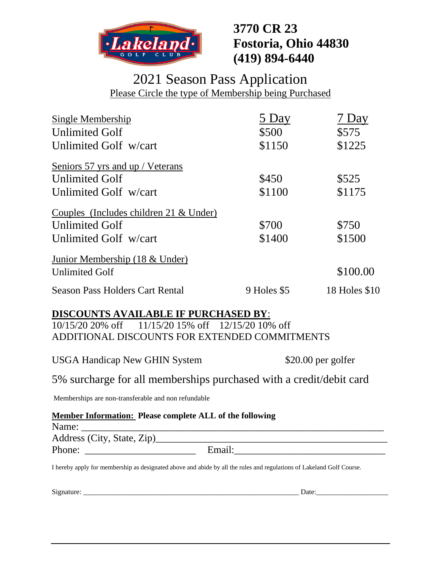

# **3770 CR 23 Fostoria, Ohio 44830 (419) 894-6440**

## 2021 Season Pass Application Please Circle the type of Membership being Purchased

| Single Membership                        | 5 Day       | 7 Day         |
|------------------------------------------|-------------|---------------|
| <b>Unlimited Golf</b>                    | \$500       | \$575         |
| Unlimited Golf w/cart                    | \$1150      | \$1225        |
| Seniors 57 yrs and up / Veterans         |             |               |
| <b>Unlimited Golf</b>                    | \$450       | \$525         |
| Unlimited Golf w/cart                    | \$1100      | \$1175        |
| Couples (Includes children 21 $&$ Under) |             |               |
| <b>Unlimited Golf</b>                    | \$700       | \$750         |
| Unlimited Golf w/cart                    | \$1400      | \$1500        |
| Junior Membership (18 & Under)           |             |               |
| <b>Unlimited Golf</b>                    |             | \$100.00      |
| <b>Season Pass Holders Cart Rental</b>   | 9 Holes \$5 | 18 Holes \$10 |

## **DISCOUNTS AVAILABLE IF PURCHASED BY**:

10/15/20 20% off 11/15/20 15% off 12/15/20 10% off ADDITIONAL DISCOUNTS FOR EXTENDED COMMITMENTS

USGA Handicap New GHIN System \$20.00 per golfer

5% surcharge for all memberships purchased with a credit/debit card

Memberships are non-transferable and non refundable

### **Member Information: Please complete ALL of the following**

| Name:                      |        | - |  |
|----------------------------|--------|---|--|
|                            |        |   |  |
| Address (City, State, Zip) |        |   |  |
| Phone:                     | Email: |   |  |

I hereby apply for membership as designated above and abide by all the rules and regulations of Lakeland Golf Course.

Signature: \_\_\_\_\_\_\_\_\_\_\_\_\_\_\_\_\_\_\_\_\_\_\_\_\_\_\_\_\_\_\_\_\_\_\_\_\_\_\_\_\_\_\_\_\_\_\_\_\_\_\_\_\_\_\_\_\_\_\_\_ Date:\_\_\_\_\_\_\_\_\_\_\_\_\_\_\_\_\_\_\_\_